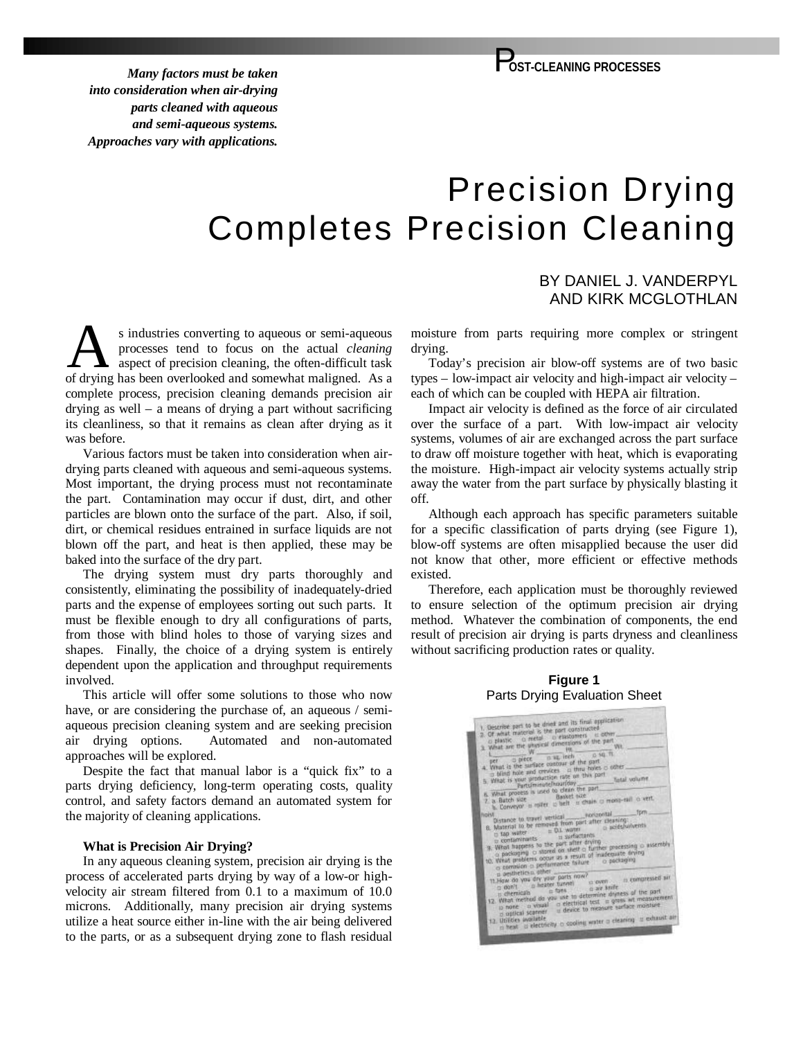*Many factors must be taken into consideration when air-drying parts cleaned with aqueous and semi-aqueous systems. Approaches vary with applications.*

# Precision Drying Completes Precision Cleaning

# BY DANIEL J. VANDERPYL AND KIRK MCGLOTHLAN

s industries converting to aqueous or semi-aqueous processes tend to focus on the actual *cleaning* aspect of precision cleaning, the often-difficult task s industries converting to aqueous or semi-aqueous<br>processes tend to focus on the actual *cleaning*<br>of drying has been overlooked and somewhat maligned. As a complete process, precision cleaning demands precision air drying as well – a means of drying a part without sacrificing its cleanliness, so that it remains as clean after drying as it was before.

Various factors must be taken into consideration when airdrying parts cleaned with aqueous and semi-aqueous systems. Most important, the drying process must not recontaminate the part. Contamination may occur if dust, dirt, and other particles are blown onto the surface of the part. Also, if soil, dirt, or chemical residues entrained in surface liquids are not blown off the part, and heat is then applied, these may be baked into the surface of the dry part.

The drying system must dry parts thoroughly and consistently, eliminating the possibility of inadequately-dried parts and the expense of employees sorting out such parts. It must be flexible enough to dry all configurations of parts, from those with blind holes to those of varying sizes and shapes. Finally, the choice of a drying system is entirely dependent upon the application and throughput requirements involved.

This article will offer some solutions to those who now have, or are considering the purchase of, an aqueous / semiaqueous precision cleaning system and are seeking precision air drying options. Automated and non-automated approaches will be explored.

Despite the fact that manual labor is a "quick fix" to a parts drying deficiency, long-term operating costs, quality control, and safety factors demand an automated system for the majority of cleaning applications.

#### **What is Precision Air Drying?**

In any aqueous cleaning system, precision air drying is the process of accelerated parts drying by way of a low-or highvelocity air stream filtered from 0.1 to a maximum of 10.0 microns. Additionally, many precision air drying systems utilize a heat source either in-line with the air being delivered to the parts, or as a subsequent drying zone to flash residual moisture from parts requiring more complex or stringent drying.

Today's precision air blow-off systems are of two basic types – low-impact air velocity and high-impact air velocity – each of which can be coupled with HEPA air filtration.

Impact air velocity is defined as the force of air circulated over the surface of a part. With low-impact air velocity systems, volumes of air are exchanged across the part surface to draw off moisture together with heat, which is evaporating the moisture. High-impact air velocity systems actually strip away the water from the part surface by physically blasting it off.

Although each approach has specific parameters suitable for a specific classification of parts drying (see Figure 1), blow-off systems are often misapplied because the user did not know that other, more efficient or effective methods existed.

Therefore, each application must be thoroughly reviewed to ensure selection of the optimum precision air drying method. Whatever the combination of components, the end result of precision air drying is parts dryness and cleanliness without sacrificing production rates or quality.

### **Figure 1** Parts Drying Evaluation Sheet

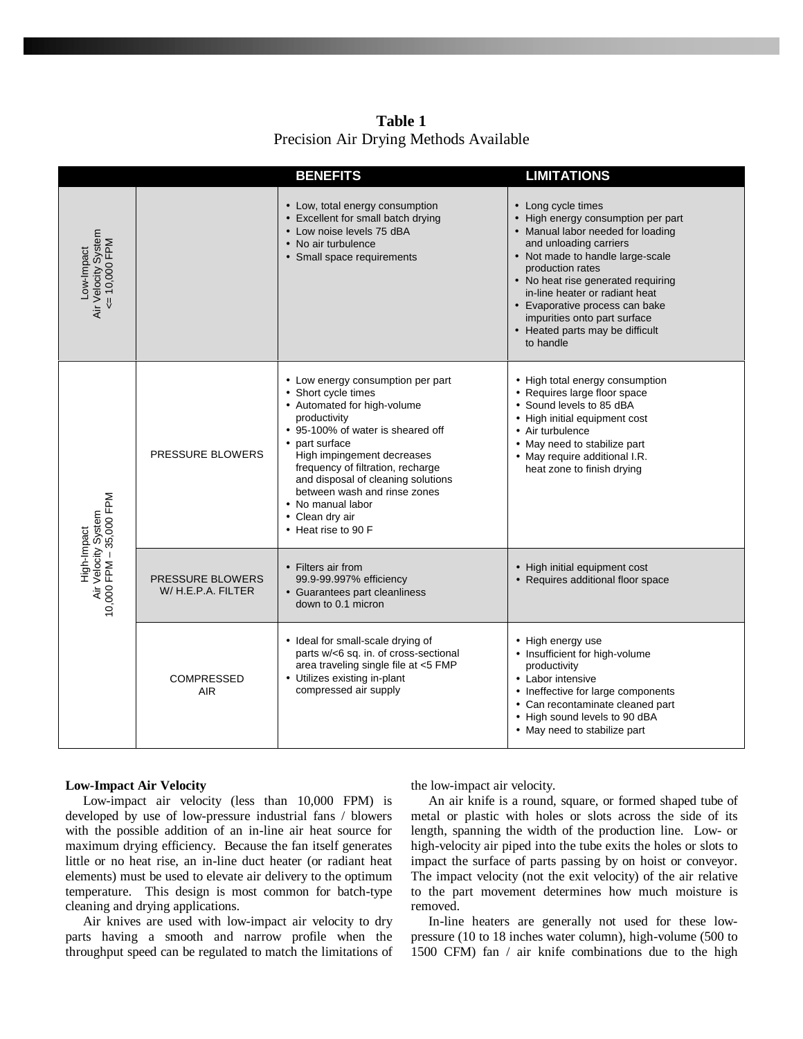**Table 1** Precision Air Drying Methods Available

|                                                               |                                               | <b>BENEFITS</b>                                                                                                                                                                                                                                                                                                                                                        | <b>LIMITATIONS</b>                                                                                                                                                                                                                                                                                                                                                        |
|---------------------------------------------------------------|-----------------------------------------------|------------------------------------------------------------------------------------------------------------------------------------------------------------------------------------------------------------------------------------------------------------------------------------------------------------------------------------------------------------------------|---------------------------------------------------------------------------------------------------------------------------------------------------------------------------------------------------------------------------------------------------------------------------------------------------------------------------------------------------------------------------|
| Air Velocity System<br><= 10,000 FPM<br>Low-Impact            |                                               | • Low, total energy consumption<br>• Excellent for small batch drying<br>• Low noise levels 75 dBA<br>• No air turbulence<br>• Small space requirements                                                                                                                                                                                                                | • Long cycle times<br>• High energy consumption per part<br>• Manual labor needed for loading<br>and unloading carriers<br>• Not made to handle large-scale<br>production rates<br>• No heat rise generated requiring<br>in-line heater or radiant heat<br>• Evaporative process can bake<br>impurities onto part surface<br>• Heated parts may be difficult<br>to handle |
| Air Velocity System<br>10,000 FPM – 35,000 FPM<br>High-Impact | <b>PRESSURE BLOWERS</b>                       | • Low energy consumption per part<br>• Short cycle times<br>• Automated for high-volume<br>productivity<br>• 95-100% of water is sheared off<br>• part surface<br>High impingement decreases<br>frequency of filtration, recharge<br>and disposal of cleaning solutions<br>between wash and rinse zones<br>• No manual labor<br>• Clean dry air<br>• Heat rise to 90 F | • High total energy consumption<br>• Requires large floor space<br>• Sound levels to 85 dBA<br>• High initial equipment cost<br>• Air turbulence<br>• May need to stabilize part<br>• May require additional I.R.<br>heat zone to finish drying                                                                                                                           |
|                                                               | <b>PRESSURE BLOWERS</b><br>W/ H.E.P.A. FILTER | • Filters air from<br>99.9-99.997% efficiency<br>• Guarantees part cleanliness<br>down to 0.1 micron                                                                                                                                                                                                                                                                   | • High initial equipment cost<br>• Requires additional floor space                                                                                                                                                                                                                                                                                                        |
|                                                               | <b>COMPRESSED</b><br><b>AIR</b>               | • Ideal for small-scale drying of<br>parts w/<6 sq. in. of cross-sectional<br>area traveling single file at <5 FMP<br>• Utilizes existing in-plant<br>compressed air supply                                                                                                                                                                                            | • High energy use<br>• Insufficient for high-volume<br>productivity<br>• Labor intensive<br>• Ineffective for large components<br>• Can recontaminate cleaned part<br>• High sound levels to 90 dBA<br>• May need to stabilize part                                                                                                                                       |

#### **Low-Impact Air Velocity**

Low-impact air velocity (less than 10,000 FPM) is developed by use of low-pressure industrial fans / blowers with the possible addition of an in-line air heat source for maximum drying efficiency. Because the fan itself generates little or no heat rise, an in-line duct heater (or radiant heat elements) must be used to elevate air delivery to the optimum temperature. This design is most common for batch-type cleaning and drying applications.

Air knives are used with low-impact air velocity to dry parts having a smooth and narrow profile when the throughput speed can be regulated to match the limitations of the low-impact air velocity.

An air knife is a round, square, or formed shaped tube of metal or plastic with holes or slots across the side of its length, spanning the width of the production line. Low- or high-velocity air piped into the tube exits the holes or slots to impact the surface of parts passing by on hoist or conveyor. The impact velocity (not the exit velocity) of the air relative to the part movement determines how much moisture is removed.

In-line heaters are generally not used for these lowpressure (10 to 18 inches water column), high-volume (500 to 1500 CFM) fan / air knife combinations due to the high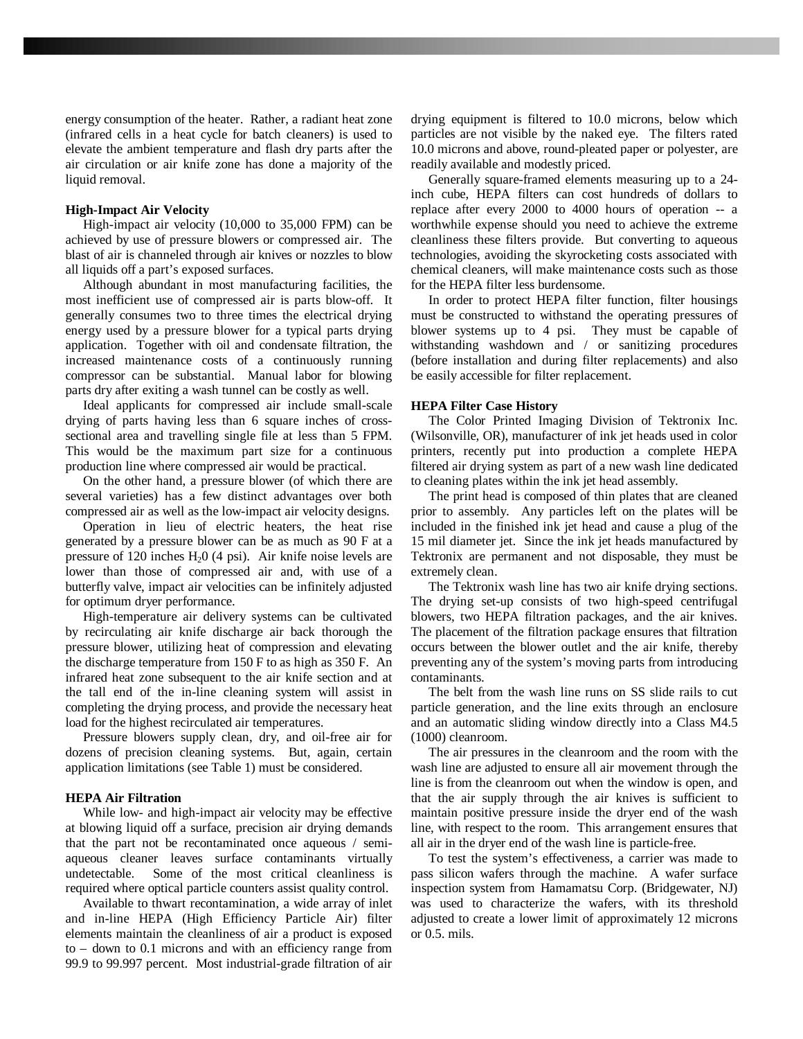energy consumption of the heater. Rather, a radiant heat zone (infrared cells in a heat cycle for batch cleaners) is used to elevate the ambient temperature and flash dry parts after the air circulation or air knife zone has done a majority of the liquid removal.

#### **High-Impact Air Velocity**

High-impact air velocity (10,000 to 35,000 FPM) can be achieved by use of pressure blowers or compressed air. The blast of air is channeled through air knives or nozzles to blow all liquids off a part's exposed surfaces.

Although abundant in most manufacturing facilities, the most inefficient use of compressed air is parts blow-off. It generally consumes two to three times the electrical drying energy used by a pressure blower for a typical parts drying application. Together with oil and condensate filtration, the increased maintenance costs of a continuously running compressor can be substantial. Manual labor for blowing parts dry after exiting a wash tunnel can be costly as well.

Ideal applicants for compressed air include small-scale drying of parts having less than 6 square inches of crosssectional area and travelling single file at less than 5 FPM. This would be the maximum part size for a continuous production line where compressed air would be practical.

On the other hand, a pressure blower (of which there are several varieties) has a few distinct advantages over both compressed air as well as the low-impact air velocity designs.

Operation in lieu of electric heaters, the heat rise generated by a pressure blower can be as much as 90 F at a pressure of 120 inches  $H<sub>2</sub>0$  (4 psi). Air knife noise levels are lower than those of compressed air and, with use of a butterfly valve, impact air velocities can be infinitely adjusted for optimum dryer performance.

High-temperature air delivery systems can be cultivated by recirculating air knife discharge air back thorough the pressure blower, utilizing heat of compression and elevating the discharge temperature from 150 F to as high as 350 F. An infrared heat zone subsequent to the air knife section and at the tall end of the in-line cleaning system will assist in completing the drying process, and provide the necessary heat load for the highest recirculated air temperatures.

Pressure blowers supply clean, dry, and oil-free air for dozens of precision cleaning systems. But, again, certain application limitations (see Table 1) must be considered.

#### **HEPA Air Filtration**

While low- and high-impact air velocity may be effective at blowing liquid off a surface, precision air drying demands that the part not be recontaminated once aqueous / semiaqueous cleaner leaves surface contaminants virtually undetectable. Some of the most critical cleanliness is required where optical particle counters assist quality control.

Available to thwart recontamination, a wide array of inlet and in-line HEPA (High Efficiency Particle Air) filter elements maintain the cleanliness of air a product is exposed to – down to 0.1 microns and with an efficiency range from 99.9 to 99.997 percent. Most industrial-grade filtration of air drying equipment is filtered to 10.0 microns, below which particles are not visible by the naked eye. The filters rated 10.0 microns and above, round-pleated paper or polyester, are readily available and modestly priced.

Generally square-framed elements measuring up to a 24 inch cube, HEPA filters can cost hundreds of dollars to replace after every 2000 to 4000 hours of operation -- a worthwhile expense should you need to achieve the extreme cleanliness these filters provide. But converting to aqueous technologies, avoiding the skyrocketing costs associated with chemical cleaners, will make maintenance costs such as those for the HEPA filter less burdensome.

In order to protect HEPA filter function, filter housings must be constructed to withstand the operating pressures of blower systems up to 4 psi. They must be capable of withstanding washdown and / or sanitizing procedures (before installation and during filter replacements) and also be easily accessible for filter replacement.

#### **HEPA Filter Case History**

The Color Printed Imaging Division of Tektronix Inc. (Wilsonville, OR), manufacturer of ink jet heads used in color printers, recently put into production a complete HEPA filtered air drying system as part of a new wash line dedicated to cleaning plates within the ink jet head assembly.

The print head is composed of thin plates that are cleaned prior to assembly. Any particles left on the plates will be included in the finished ink jet head and cause a plug of the 15 mil diameter jet. Since the ink jet heads manufactured by Tektronix are permanent and not disposable, they must be extremely clean.

The Tektronix wash line has two air knife drying sections. The drying set-up consists of two high-speed centrifugal blowers, two HEPA filtration packages, and the air knives. The placement of the filtration package ensures that filtration occurs between the blower outlet and the air knife, thereby preventing any of the system's moving parts from introducing contaminants.

The belt from the wash line runs on SS slide rails to cut particle generation, and the line exits through an enclosure and an automatic sliding window directly into a Class M4.5 (1000) cleanroom.

The air pressures in the cleanroom and the room with the wash line are adjusted to ensure all air movement through the line is from the cleanroom out when the window is open, and that the air supply through the air knives is sufficient to maintain positive pressure inside the dryer end of the wash line, with respect to the room. This arrangement ensures that all air in the dryer end of the wash line is particle-free.

To test the system's effectiveness, a carrier was made to pass silicon wafers through the machine. A wafer surface inspection system from Hamamatsu Corp. (Bridgewater, NJ) was used to characterize the wafers, with its threshold adjusted to create a lower limit of approximately 12 microns or 0.5. mils.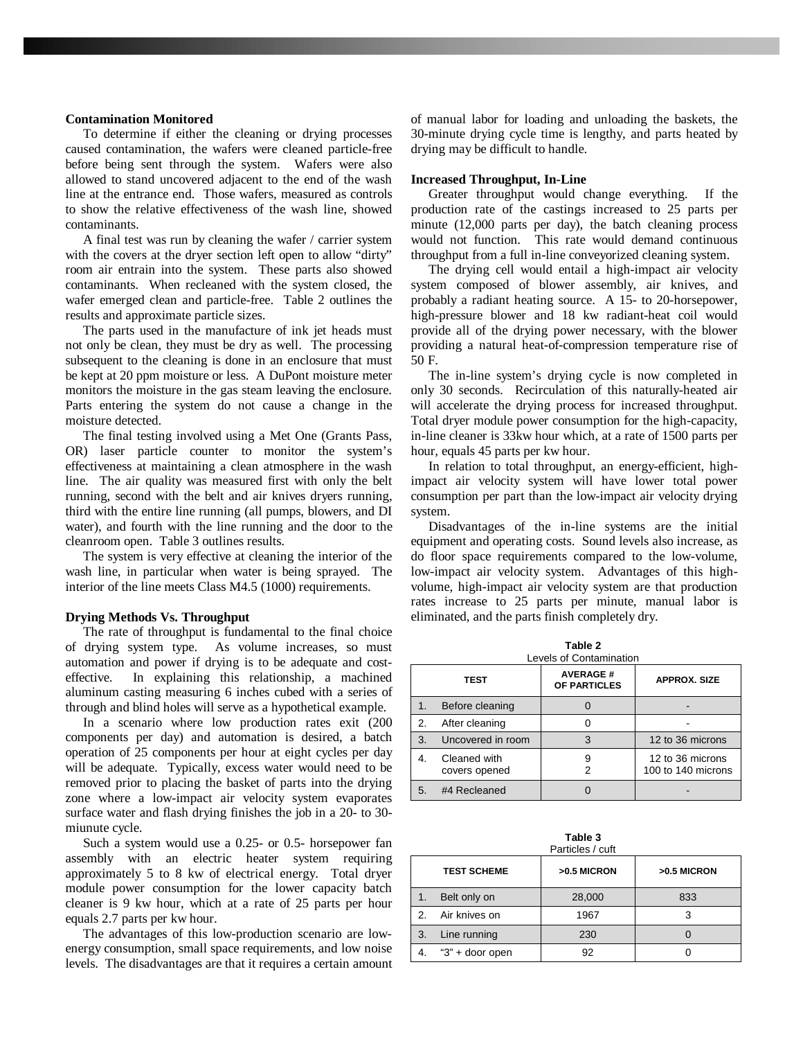#### **Contamination Monitored**

To determine if either the cleaning or drying processes caused contamination, the wafers were cleaned particle-free before being sent through the system. Wafers were also allowed to stand uncovered adjacent to the end of the wash line at the entrance end. Those wafers, measured as controls to show the relative effectiveness of the wash line, showed contaminants.

A final test was run by cleaning the wafer / carrier system with the covers at the dryer section left open to allow "dirty" room air entrain into the system. These parts also showed contaminants. When recleaned with the system closed, the wafer emerged clean and particle-free. Table 2 outlines the results and approximate particle sizes.

The parts used in the manufacture of ink jet heads must not only be clean, they must be dry as well. The processing subsequent to the cleaning is done in an enclosure that must be kept at 20 ppm moisture or less. A DuPont moisture meter monitors the moisture in the gas steam leaving the enclosure. Parts entering the system do not cause a change in the moisture detected.

The final testing involved using a Met One (Grants Pass, OR) laser particle counter to monitor the system's effectiveness at maintaining a clean atmosphere in the wash line. The air quality was measured first with only the belt running, second with the belt and air knives dryers running, third with the entire line running (all pumps, blowers, and DI water), and fourth with the line running and the door to the cleanroom open. Table 3 outlines results.

The system is very effective at cleaning the interior of the wash line, in particular when water is being sprayed. The interior of the line meets Class M4.5 (1000) requirements.

#### **Drying Methods Vs. Throughput**

The rate of throughput is fundamental to the final choice of drying system type. As volume increases, so must automation and power if drying is to be adequate and costeffective. In explaining this relationship, a machined aluminum casting measuring 6 inches cubed with a series of through and blind holes will serve as a hypothetical example.

In a scenario where low production rates exit (200 components per day) and automation is desired, a batch operation of 25 components per hour at eight cycles per day will be adequate. Typically, excess water would need to be removed prior to placing the basket of parts into the drying zone where a low-impact air velocity system evaporates surface water and flash drying finishes the job in a 20- to 30 miunute cycle.

Such a system would use a 0.25- or 0.5- horsepower fan assembly with an electric heater system requiring approximately 5 to 8 kw of electrical energy. Total dryer module power consumption for the lower capacity batch cleaner is 9 kw hour, which at a rate of 25 parts per hour equals 2.7 parts per kw hour.

The advantages of this low-production scenario are lowenergy consumption, small space requirements, and low noise levels. The disadvantages are that it requires a certain amount of manual labor for loading and unloading the baskets, the 30-minute drying cycle time is lengthy, and parts heated by drying may be difficult to handle.

#### **Increased Throughput, In-Line**

Greater throughput would change everything. If the production rate of the castings increased to 25 parts per minute (12,000 parts per day), the batch cleaning process would not function. This rate would demand continuous throughput from a full in-line conveyorized cleaning system.

The drying cell would entail a high-impact air velocity system composed of blower assembly, air knives, and probably a radiant heating source. A 15- to 20-horsepower, high-pressure blower and 18 kw radiant-heat coil would provide all of the drying power necessary, with the blower providing a natural heat-of-compression temperature rise of 50 F.

The in-line system's drying cycle is now completed in only 30 seconds. Recirculation of this naturally-heated air will accelerate the drying process for increased throughput. Total dryer module power consumption for the high-capacity, in-line cleaner is 33kw hour which, at a rate of 1500 parts per hour, equals 45 parts per kw hour.

In relation to total throughput, an energy-efficient, highimpact air velocity system will have lower total power consumption per part than the low-impact air velocity drying system.

Disadvantages of the in-line systems are the initial equipment and operating costs. Sound levels also increase, as do floor space requirements compared to the low-volume, low-impact air velocity system. Advantages of this highvolume, high-impact air velocity system are that production rates increase to 25 parts per minute, manual labor is eliminated, and the parts finish completely dry.

**Table 2** 

| i abie z<br>Levels of Contamination |                               |                                 |                                        |  |  |  |
|-------------------------------------|-------------------------------|---------------------------------|----------------------------------------|--|--|--|
| <b>TEST</b>                         |                               | <b>AVERAGE#</b><br>OF PARTICLES | <b>APPROX. SIZE</b>                    |  |  |  |
| 1.                                  | Before cleaning               |                                 |                                        |  |  |  |
| 2.                                  | After cleaning                |                                 |                                        |  |  |  |
| 3.                                  | Uncovered in room             | 3                               | 12 to 36 microns                       |  |  |  |
| 4.                                  | Cleaned with<br>covers opened | 9<br>2                          | 12 to 36 microns<br>100 to 140 microns |  |  |  |
| 5.                                  | #4 Recleaned                  |                                 |                                        |  |  |  |

**Table 3** Particles / cuft

|               | <b>TEST SCHEME</b> | >0.5 MICRON | >0.5 MICRON |
|---------------|--------------------|-------------|-------------|
| 1.            | Belt only on       | 28,000      | 833         |
| $\mathcal{P}$ | Air knives on      | 1967        |             |
| 3.            | Line running       | 230         |             |
|               | "3" + door open    | 92          |             |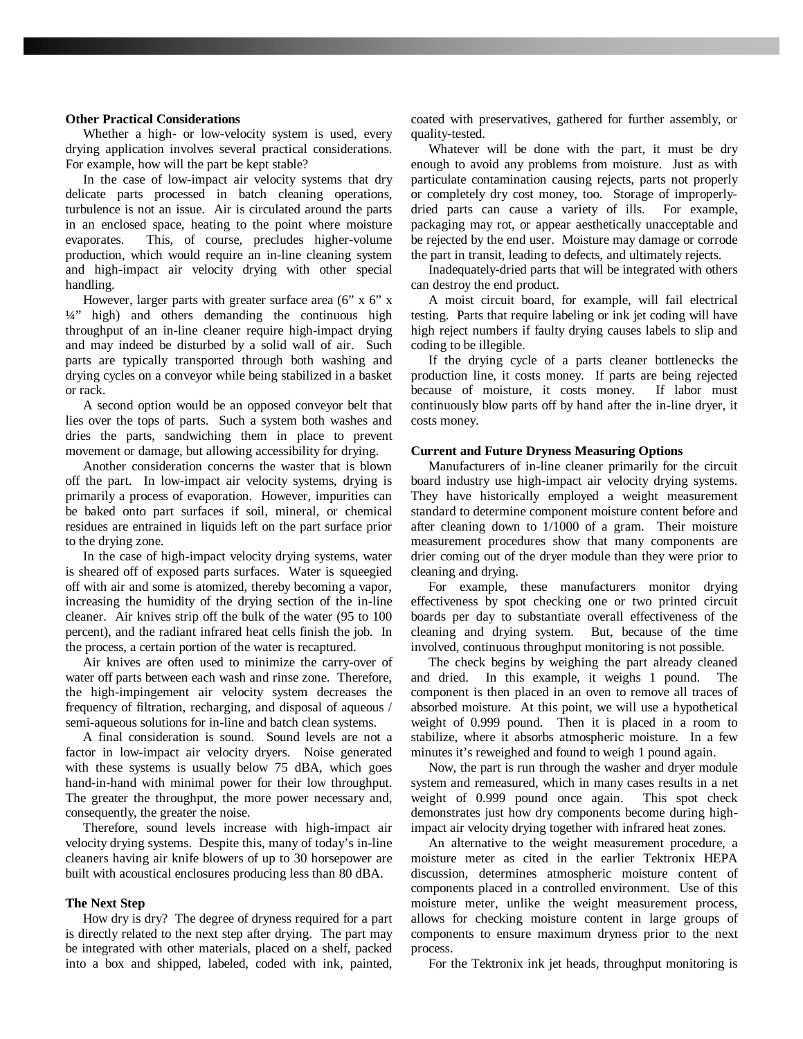#### **Other Practical Considerations**

Whether a high- or low-velocity system is used, every drying application involves several practical considerations. For example, how will the part be kept stable?

In the case of low-impact air velocity systems that dry delicate parts processed in batch cleaning operations, turbulence is not an issue. Air is circulated around the parts in an enclosed space, heating to the point where moisture evaporates. This, of course, precludes higher-volume production, which would require an in-line cleaning system and high-impact air velocity drying with other special handling.

However, larger parts with greater surface area (6" x 6" x ¼" high) and others demanding the continuous high throughput of an in-line cleaner require high-impact drying and may indeed be disturbed by a solid wall of air. Such parts are typically transported through both washing and drying cycles on a conveyor while being stabilized in a basket or rack.

A second option would be an opposed conveyor belt that lies over the tops of parts. Such a system both washes and dries the parts, sandwiching them in place to prevent movement or damage, but allowing accessibility for drying.

Another consideration concerns the waster that is blown off the part. In low-impact air velocity systems, drying is primarily a process of evaporation. However, impurities can be baked onto part surfaces if soil, mineral, or chemical residues are entrained in liquids left on the part surface prior to the drying zone.

In the case of high-impact velocity drying systems, water is sheared off of exposed parts surfaces. Water is squeegied off with air and some is atomized, thereby becoming a vapor, increasing the humidity of the drying section of the in-line cleaner. Air knives strip off the bulk of the water (95 to 100 percent), and the radiant infrared heat cells finish the job. In the process, a certain portion of the water is recaptured.

Air knives are often used to minimize the carry-over of water off parts between each wash and rinse zone. Therefore, the high-impingement air velocity system decreases the frequency of filtration, recharging, and disposal of aqueous / semi-aqueous solutions for in-line and batch clean systems.

A final consideration is sound. Sound levels are not a factor in low-impact air velocity dryers. Noise generated with these systems is usually below 75 dBA, which goes hand-in-hand with minimal power for their low throughput. The greater the throughput, the more power necessary and, consequently, the greater the noise.

Therefore, sound levels increase with high-impact air velocity drying systems. Despite this, many of today's in-line cleaners having air knife blowers of up to 30 horsepower are built with acoustical enclosures producing less than 80 dBA.

#### **The Next Step**

How dry is dry? The degree of dryness required for a part is directly related to the next step after drying. The part may be integrated with other materials, placed on a shelf, packed into a box and shipped, labeled, coded with ink, painted, coated with preservatives, gathered for further assembly, or quality-tested.

Whatever will be done with the part, it must be dry enough to avoid any problems from moisture. Just as with particulate contamination causing rejects, parts not properly or completely dry cost money, too. Storage of improperlydried parts can cause a variety of ills. For example, packaging may rot, or appear aesthetically unacceptable and be rejected by the end user. Moisture may damage or corrode the part in transit, leading to defects, and ultimately rejects.

Inadequately-dried parts that will be integrated with others can destroy the end product.

A moist circuit board, for example, will fail electrical testing. Parts that require labeling or ink jet coding will have high reject numbers if faulty drying causes labels to slip and coding to be illegible.

If the drying cycle of a parts cleaner bottlenecks the production line, it costs money. If parts are being rejected because of moisture, it costs money. If labor must continuously blow parts off by hand after the in-line dryer, it costs money.

#### **Current and Future Dryness Measuring Options**

Manufacturers of in-line cleaner primarily for the circuit board industry use high-impact air velocity drying systems. They have historically employed a weight measurement standard to determine component moisture content before and after cleaning down to 1/1000 of a gram. Their moisture measurement procedures show that many components are drier coming out of the dryer module than they were prior to cleaning and drying.

For example, these manufacturers monitor drying effectiveness by spot checking one or two printed circuit boards per day to substantiate overall effectiveness of the cleaning and drying system. But, because of the time involved, continuous throughput monitoring is not possible.

The check begins by weighing the part already cleaned and dried. In this example, it weighs 1 pound. The component is then placed in an oven to remove all traces of absorbed moisture. At this point, we will use a hypothetical weight of 0.999 pound. Then it is placed in a room to stabilize, where it absorbs atmospheric moisture. In a few minutes it's reweighed and found to weigh 1 pound again.

Now, the part is run through the washer and dryer module system and remeasured, which in many cases results in a net weight of 0.999 pound once again. This spot check demonstrates just how dry components become during highimpact air velocity drying together with infrared heat zones.

An alternative to the weight measurement procedure, a moisture meter as cited in the earlier Tektronix HEPA discussion, determines atmospheric moisture content of components placed in a controlled environment. Use of this moisture meter, unlike the weight measurement process, allows for checking moisture content in large groups of components to ensure maximum dryness prior to the next process.

For the Tektronix ink jet heads, throughput monitoring is